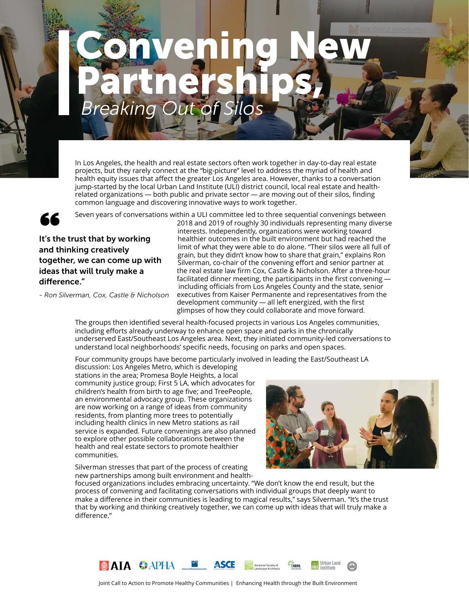*Ayako Utsumi*

# *Breaking Out of Silos* Convening New Partnerships,

In Los Angeles, the health and real estate sectors often work together in day-to-day real estate projects, but they rarely connect at the "big-picture" level to address the myriad of health and health equity issues that affect the greater Los Angeles area. However, thanks to a conversation jump-started by the local Urban Land Institute (ULI) district council, local real estate and healthrelated organizations — both public and private sector — are moving out of their silos, finding common language and discovering innovative ways to work together.



difference."

Seven years of conversa<br>It's the trust that by working<br>and thinking exectively and thinking creatively together, we can come up with ideas that will truly make a

*- Ron Silverman, Cox, Castle & Nicholson*

Seven years of conversations within a ULI committee led to three sequential convenings between 2018 and 2019 of roughly 30 individuals representing many diverse interests. Independently, organizations were working toward healthier outcomes in the built environment but had reached the limit of what they were able to do alone. "Their silos were all full of grain, but they didn't know how to share that grain," explains Ron Silverman, co-chair of the convening effort and senior partner at the real estate law firm Cox, Castle & Nicholson. After a three-hour facilitated dinner meeting, the participants in the first convening including officials from Los Angeles County and the state, senior executives from Kaiser Permanente and representatives from the development community — all left energized, with the first glimpses of how they could collaborate and move forward.

The groups then identified several health-focused projects in various Los Angeles communities, including efforts already underway to enhance open space and parks in the chronically underserved East/Southeast Los Angeles area. Next, they initiated community-led conversations to understand local neighborhoods' specific needs, focusing on parks and open spaces.

Four community groups have become particularly involved in leading the East/Southeast LA

discussion: Los Angeles Metro, which is developing stations in the area; Promesa Boyle Heights, a local community justice group; First 5 LA, which advocates for children's health from birth to age five; and TreePeople, an environmental advocacy group. These organizations are now working on a range of ideas from community residents, from planting more trees to potentially including health clinics in new Metro stations as rail service is expanded. Future convenings are also planned to explore other possible collaborations between the health and real estate sectors to promote healthier communities.

Silverman stresses that part of the process of creating new partnerships among built environment and health-



focused organizations includes embracing uncertainty. "We don't know the end result, but the process of convening and facilitating conversations with individual groups that deeply want to make a difference in their communities is leading to magical results," says Silverman. "It's the trust that by working and thinking creatively together, we can come up with ideas that will truly make a difference."